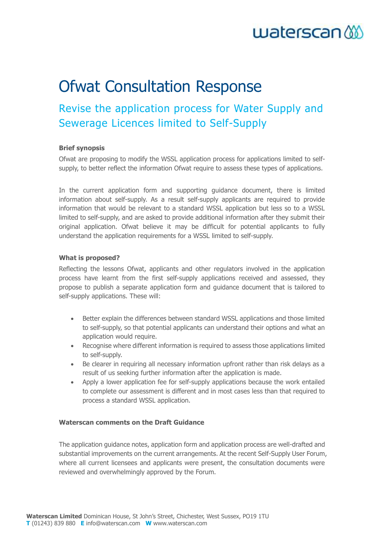# $waterscan$

# Ofwat Consultation Response

# Revise the application process for Water Supply and Sewerage Licences limited to Self-Supply

## **Brief synopsis**

Ofwat are proposing to modify the WSSL application process for applications limited to selfsupply, to better reflect the information Ofwat require to assess these types of applications.

In the current application form and supporting guidance document, there is limited information about self-supply. As a result self-supply applicants are required to provide information that would be relevant to a standard WSSL application but less so to a WSSL limited to self-supply, and are asked to provide additional information after they submit their original application. Ofwat believe it may be difficult for potential applicants to fully understand the application requirements for a WSSL limited to self-supply.

### **What is proposed?**

Reflecting the lessons Ofwat, applicants and other regulators involved in the application process have learnt from the first self-supply applications received and assessed, they propose to publish a separate application form and guidance document that is tailored to self-supply applications. These will:

- Better explain the differences between standard WSSL applications and those limited to self-supply, so that potential applicants can understand their options and what an application would require.
- Recognise where different information is required to assess those applications limited to self-supply.
- Be clearer in requiring all necessary information upfront rather than risk delays as a result of us seeking further information after the application is made.
- Apply a lower application fee for self-supply applications because the work entailed to complete our assessment is different and in most cases less than that required to process a standard WSSL application.

### **Waterscan comments on the Draft Guidance**

The application guidance notes, application form and application process are well-drafted and substantial improvements on the current arrangements. At the recent Self-Supply User Forum, where all current licensees and applicants were present, the consultation documents were reviewed and overwhelmingly approved by the Forum.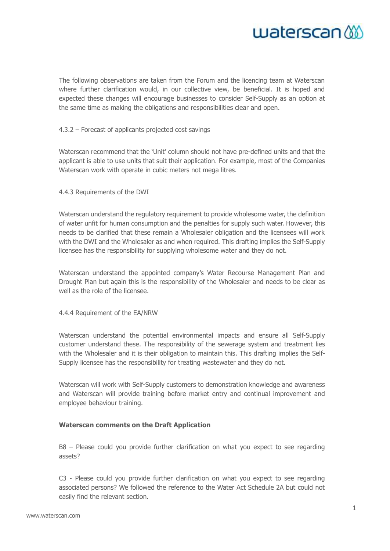

The following observations are taken from the Forum and the licencing team at Waterscan where further clarification would, in our collective view, be beneficial. It is hoped and expected these changes will encourage businesses to consider Self-Supply as an option at the same time as making the obligations and responsibilities clear and open.

#### 4.3.2 – Forecast of applicants projected cost savings

Waterscan recommend that the 'Unit' column should not have pre-defined units and that the applicant is able to use units that suit their application. For example, most of the Companies Waterscan work with operate in cubic meters not mega litres.

#### 4.4.3 Requirements of the DWI

Waterscan understand the regulatory requirement to provide wholesome water, the definition of water unfit for human consumption and the penalties for supply such water. However, this needs to be clarified that these remain a Wholesaler obligation and the licensees will work with the DWI and the Wholesaler as and when required. This drafting implies the Self-Supply licensee has the responsibility for supplying wholesome water and they do not.

Waterscan understand the appointed company's Water Recourse Management Plan and Drought Plan but again this is the responsibility of the Wholesaler and needs to be clear as well as the role of the licensee.

#### 4.4.4 Requirement of the EA/NRW

Waterscan understand the potential environmental impacts and ensure all Self-Supply customer understand these. The responsibility of the sewerage system and treatment lies with the Wholesaler and it is their obligation to maintain this. This drafting implies the Self-Supply licensee has the responsibility for treating wastewater and they do not.

Waterscan will work with Self-Supply customers to demonstration knowledge and awareness and Waterscan will provide training before market entry and continual improvement and employee behaviour training.

#### **Waterscan comments on the Draft Application**

B8 – Please could you provide further clarification on what you expect to see regarding assets?

C3 - Please could you provide further clarification on what you expect to see regarding associated persons? We followed the reference to the Water Act Schedule 2A but could not easily find the relevant section.